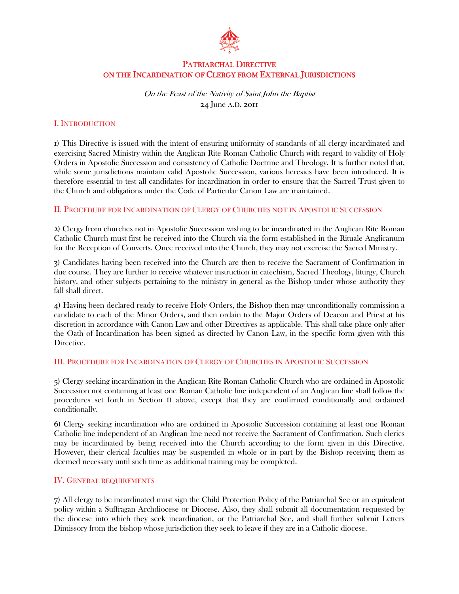

# PATRIARCHAL DIRECTIVE ON THE INCARDINATION OF CLERGY FROM EXTERNAL JURISDICTIONS

On the Feast of the Nativity of Saint John the Baptist 24 June A.D. 2011

## I. INTRODUCTION

1) This Directive is issued with the intent of ensuring uniformity of standards of all clergy incardinated and exercising Sacred Ministry within the Anglican Rite Roman Catholic Church with regard to validity of Holy Orders in Apostolic Succession and consistency of Catholic Doctrine and Theology. It is further noted that, while some jurisdictions maintain valid Apostolic Succession, various heresies have been introduced. It is therefore essential to test all candidates for incardination in order to ensure that the Sacred Trust given to the Church and obligations under the Code of Particular Canon Law are maintained.

#### II. PROCEDURE FOR INCARDINATION OF CLERGY OF CHURCHES NOT IN APOSTOLIC SUCCESSION

2) Clergy from churches not in Apostolic Succession wishing to be incardinated in the Anglican Rite Roman Catholic Church must first be received into the Church via the form established in the Rituale Anglicanum for the Reception of Converts. Once received into the Church, they may not exercise the Sacred Ministry.

3) Candidates having been received into the Church are then to receive the Sacrament of Confirmation in due course. They are further to receive whatever instruction in catechism, Sacred Theology, liturgy, Church history, and other subjects pertaining to the ministry in general as the Bishop under whose authority they fall shall direct.

4) Having been declared ready to receive Holy Orders, the Bishop then may unconditionally commission a candidate to each of the Minor Orders, and then ordain to the Major Orders of Deacon and Priest at his discretion in accordance with Canon Law and other Directives as applicable. This shall take place only after the Oath of Incardination has been signed as directed by Canon Law, in the specific form given with this Directive.

#### III. PROCEDURE FOR INCARDINATION OF CLERGY OF CHURCHES IN APOSTOLIC SUCCESSION

5) Clergy seeking incardination in the Anglican Rite Roman Catholic Church who are ordained in Apostolic Succession not containing at least one Roman Catholic line independent of an Anglican line shall follow the procedures set forth in Section II above, except that they are confirmed conditionally and ordained conditionally.

6) Clergy seeking incardination who are ordained in Apostolic Succession containing at least one Roman Catholic line independent of an Anglican line need not receive the Sacrament of Confirmation. Such clerics may be incardinated by being received into the Church according to the form given in this Directive. However, their clerical faculties may be suspended in whole or in part by the Bishop receiving them as deemed necessary until such time as additional training may be completed.

# IV. GENERAL REQUIREMENTS

7) All clergy to be incardinated must sign the Child Protection Policy of the Patriarchal See or an equivalent policy within a Suffragan Archdiocese or Diocese. Also, they shall submit all documentation requested by the diocese into which they seek incardination, or the Patriarchal See, and shall further submit Letters Dimissory from the bishop whose jurisdiction they seek to leave if they are in a Catholic diocese.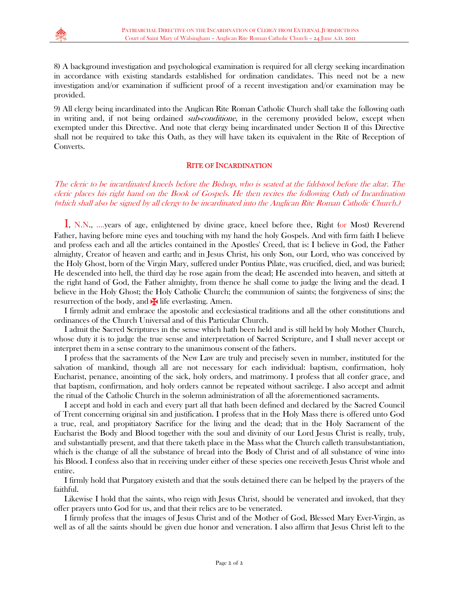8) A background investigation and psychological examination is required for all clergy seeking incardination in accordance with existing standards established for ordination candidates. This need not be a new investigation and/or examination if sufficient proof of a recent investigation and/or examination may be provided.

9) All clergy being incardinated into the Anglican Rite Roman Catholic Church shall take the following oath in writing and, if not being ordained *sub-conditione*, in the ceremony provided below, except when exempted under this Directive. And note that clergy being incardinated under Section II of this Directive shall not be required to take this Oath, as they will have taken its equivalent in the Rite of Reception of Converts.

## RITE OF INCARDINATION

The cleric to be incardinated kneels before the Bishop, who is seated at the faldstool before the altar. The cleric places his right hand on the Book of Gospels. He then recites the following Oath of Incardination (which shall also be signed by all clergy to be incardinated into the Anglican Rite Roman Catholic Church.)

 I, N.N., ....years of age, enlightened by divine grace, kneel before thee, Right (or Most) Reverend Father, having before mine eyes and touching with my hand the holy Gospels. And with firm faith I believe and profess each and all the articles contained in the Apostles' Creed, that is: I believe in God, the Father almighty, Creator of heaven and earth; and in Jesus Christ, his only Son, our Lord, who was conceived by the Holy Ghost, born of the Virgin Mary, suffered under Pontius Pilate, was crucified, died, and was buried; He descended into hell, the third day he rose again from the dead; He ascended into heaven, and sitteth at the right hand of God, the Father almighty, from thence he shall come to judge the living and the dead. I believe in the Holy Ghost; the Holy Catholic Church; the communion of saints; the forgiveness of sins; the resurrection of the body, and  $\blacktriangleright$  life everlasting. Amen.

 I firmly admit and embrace the apostolic and ecclesiastical traditions and all the other constitutions and ordinances of the Church Universal and of this Particular Church.

 I admit the Sacred Scriptures in the sense which hath been held and is still held by holy Mother Church, whose duty it is to judge the true sense and interpretation of Sacred Scripture, and I shall never accept or interpret them in a sense contrary to the unanimous consent of the fathers.

 I profess that the sacraments of the New Law are truly and precisely seven in number, instituted for the salvation of mankind, though all are not necessary for each individual: baptism, confirmation, holy Eucharist, penance, anointing of the sick, holy orders, and matrimony. I profess that all confer grace, and that baptism, confirmation, and holy orders cannot be repeated without sacrilege. I also accept and admit the ritual of the Catholic Church in the solemn administration of all the aforementioned sacraments.

 I accept and hold in each and every part all that hath been defined and declared by the Sacred Council of Trent concerning original sin and justification. I profess that in the Holy Mass there is offered unto God a true, real, and propitiatory Sacrifice for the living and the dead; that in the Holy Sacrament of the Eucharist the Body and Blood together with the soul and divinity of our Lord Jesus Christ is really, truly, and substantially present, and that there taketh place in the Mass what the Church calleth transubstantiation, which is the change of all the substance of bread into the Body of Christ and of all substance of wine into his Blood. I confess also that in receiving under either of these species one receiveth Jesus Christ whole and entire.

 I firmly hold that Purgatory existeth and that the souls detained there can be helped by the prayers of the faithful.

 Likewise I hold that the saints, who reign with Jesus Christ, should be venerated and invoked, that they offer prayers unto God for us, and that their relics are to be venerated.

 I firmly profess that the images of Jesus Christ and of the Mother of God, Blessed Mary Ever-Virgin, as well as of all the saints should be given due honor and veneration. I also affirm that Jesus Christ left to the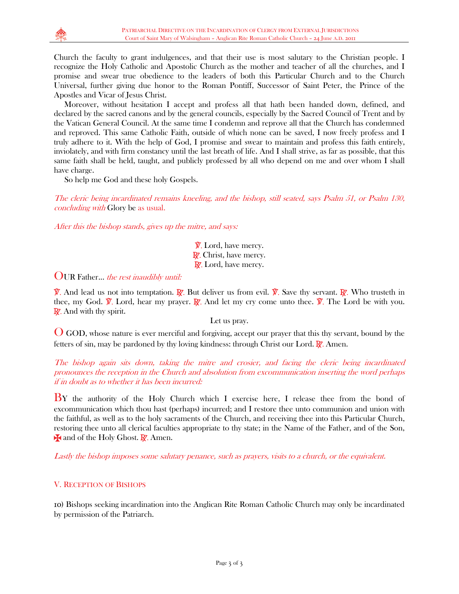

Church the faculty to grant indulgences, and that their use is most salutary to the Christian people. I recognize the Holy Catholic and Apostolic Church as the mother and teacher of all the churches, and I promise and swear true obedience to the leaders of both this Particular Church and to the Church Universal, further giving due honor to the Roman Pontiff, Successor of Saint Peter, the Prince of the Apostles and Vicar of Jesus Christ.

 Moreover, without hesitation I accept and profess all that hath been handed down, defined, and declared by the sacred canons and by the general councils, especially by the Sacred Council of Trent and by the Vatican General Council. At the same time I condemn and reprove all that the Church has condemned and reproved. This same Catholic Faith, outside of which none can be saved, I now freely profess and I truly adhere to it. With the help of God, I promise and swear to maintain and profess this faith entirely, inviolately, and with firm constancy until the last breath of life. And I shall strive, as far as possible, that this same faith shall be held, taught, and publicly professed by all who depend on me and over whom I shall have charge.

So help me God and these holy Gospels.

The cleric being incardinated remains kneeling, and the bishop, still seated, says Psalm 51, or Psalm 130, concluding with Glory be as usual.

After this the bishop stands, gives up the mitre, and says:

**V.** Lord, have mercy. R. Christ, have mercy. R. Lord, have mercy.

OUR Father... the rest inaudibly until:

 $\hat{\mathbb{V}}$ . And lead us not into temptation. R. But deliver us from evil.  $\hat{\mathbb{V}}$ . Save thy servant. R. Who trusteth in thee, my God.  $\hat{\mathbf{V}}$ . Lord, hear my prayer.  $\hat{\mathbf{R}}$ . And let my cry come unto thee.  $\hat{\mathbf{V}}$ . The Lord be with you. **R**. And with thy spirit.

Let us pray.

O GOD, whose nature is ever merciful and forgiving, accept our prayer that this thy servant, bound by the fetters of sin, may be pardoned by thy loving kindness: through Christ our Lord.  $\mathbb{R}$ . Amen.

## The bishop again sits down, taking the mitre and crosier, and facing the cleric being incardinated pronounces the reception in the Church and absolution from excommunication inserting the word perhaps if in doubt as to whether it has been incurred:

BY the authority of the Holy Church which I exercise here, I release thee from the bond of excommunication which thou hast (perhaps) incurred; and I restore thee unto communion and union with the faithful, as well as to the holy sacraments of the Church, and receiving thee into this Particular Church, restoring thee unto all clerical faculties appropriate to thy state; in the Name of the Father, and of the Son,  $\star$  and of the Holy Ghost.  $\mathbb{R}$ . Amen.

Lastly the bishop imposes some salutary penance, such as prayers, visits to a church, or the equivalent.

# V. RECEPTION OF BISHOPS

10) Bishops seeking incardination into the Anglican Rite Roman Catholic Church may only be incardinated by permission of the Patriarch.